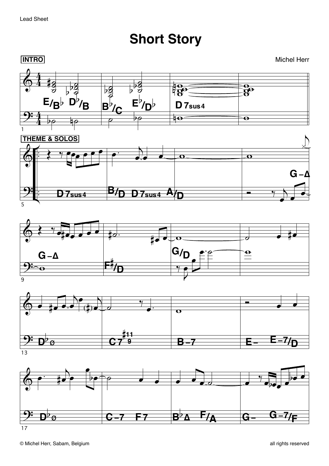**Short Story**